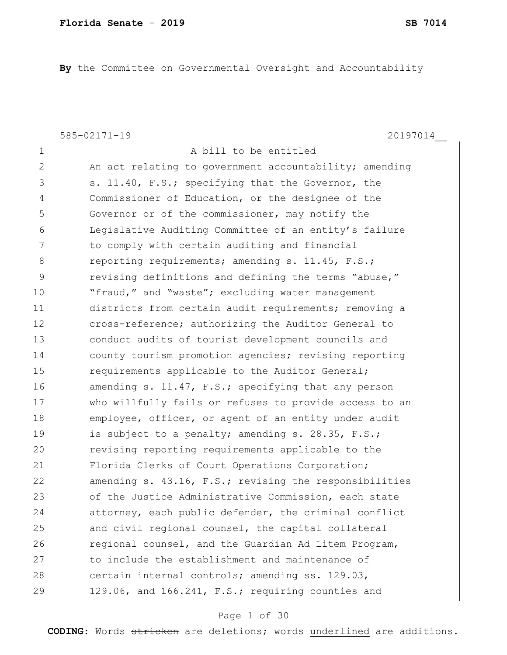**By** the Committee on Governmental Oversight and Accountability

1 a bill to be entitled

585-02171-19 20197014\_\_

2 An act relating to government accountability; amending 3 s. 11.40, F.S.; specifying that the Governor, the 4 Commissioner of Education, or the designee of the 5 Governor or of the commissioner, may notify the 6 Legislative Auditing Committee of an entity's failure 7 The comply with certain auditing and financial 8 reporting requirements; amending s. 11.45, F.S.; 9 revising definitions and defining the terms "abuse," 10 The "fraud," and "waste"; excluding water management 11 districts from certain audit requirements; removing a 12 cross-reference; authorizing the Auditor General to 13 conduct audits of tourist development councils and 14 county tourism promotion agencies; revising reporting 15 **requirements applicable to the Auditor General;** 16 amending s. 11.47, F.S.; specifying that any person 17 who willfully fails or refuses to provide access to an 18 employee, officer, or agent of an entity under audit 19 is subject to a penalty; amending s. 28.35, F.S.; 20 revising reporting requirements applicable to the 21 Florida Clerks of Court Operations Corporation; 22 amending s. 43.16, F.S.; revising the responsibilities 23 of the Justice Administrative Commission, each state 24 attorney, each public defender, the criminal conflict 25 and civil regional counsel, the capital collateral 26 regional counsel, and the Guardian Ad Litem Program, 27 127 to include the establishment and maintenance of 28 certain internal controls; amending ss. 129.03, 29 129.06, and  $166.241$ , F.S.; requiring counties and

## Page 1 of 30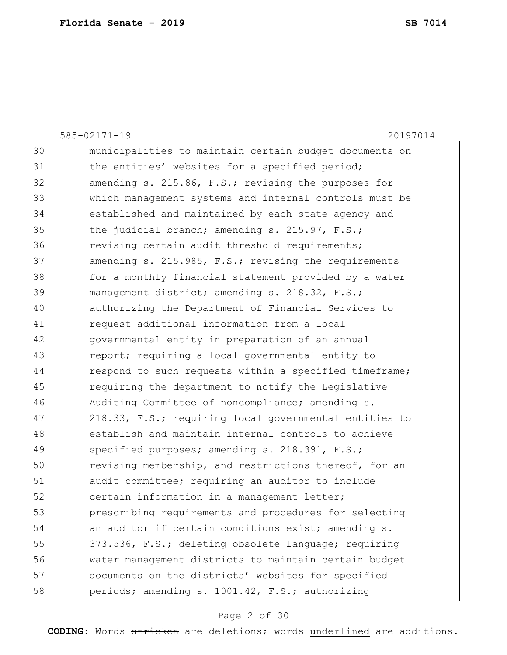| 30 | municipalities to maintain certain budget documents on |
|----|--------------------------------------------------------|
| 31 | the entities' websites for a specified period;         |
| 32 | amending s. 215.86, F.S.; revising the purposes for    |
| 33 | which management systems and internal controls must be |
| 34 | established and maintained by each state agency and    |
| 35 | the judicial branch; amending s. 215.97, F.S.;         |
| 36 | revising certain audit threshold requirements;         |
| 37 | amending s. 215.985, F.S.; revising the requirements   |
| 38 | for a monthly financial statement provided by a water  |
| 39 | management district; amending s. 218.32, F.S.;         |
| 40 | authorizing the Department of Financial Services to    |
| 41 | request additional information from a local            |
| 42 | governmental entity in preparation of an annual        |
| 43 | report; requiring a local governmental entity to       |
| 44 | respond to such requests within a specified timeframe; |
| 45 | requiring the department to notify the Legislative     |
| 46 | Auditing Committee of noncompliance; amending s.       |
| 47 | 218.33, F.S.; requiring local governmental entities to |
| 48 | establish and maintain internal controls to achieve    |
| 49 | specified purposes; amending s. 218.391, F.S.;         |
| 50 | revising membership, and restrictions thereof, for an  |
| 51 | audit committee; requiring an auditor to include       |
| 52 | certain information in a management letter;            |
| 53 | prescribing requirements and procedures for selecting  |
| 54 | an auditor if certain conditions exist; amending s.    |
| 55 | 373.536, F.S.; deleting obsolete language; requiring   |
| 56 | water management districts to maintain certain budget  |
| 57 | documents on the districts' websites for specified     |
| 58 | periods; amending s. 1001.42, F.S.; authorizing        |

# Page 2 of 30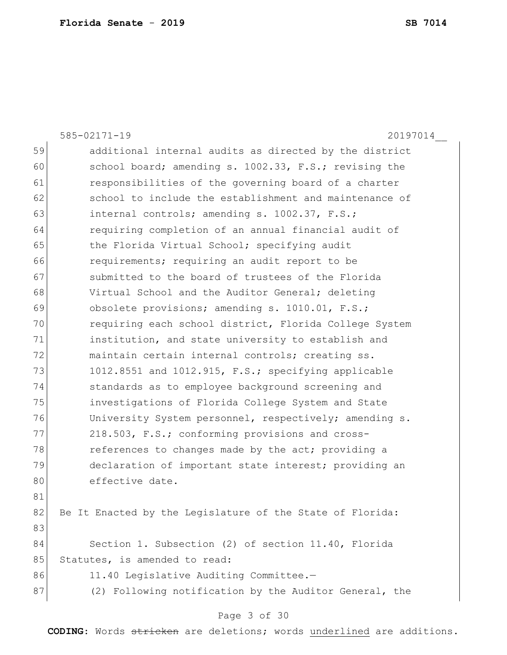585-02171-19 20197014\_\_ 59 additional internal audits as directed by the district 60 school board; amending s. 1002.33, F.S.; revising the 61 **responsibilities of the governing board of a charter** 62 school to include the establishment and maintenance of 63 internal controls; amending s. 1002.37, F.S.; 64 requiring completion of an annual financial audit of 65 the Florida Virtual School; specifying audit 66 **requirements;** requiring an audit report to be 67 Submitted to the board of trustees of the Florida 68 Virtual School and the Auditor General; deleting 69 obsolete provisions; amending s. 1010.01, F.S.; 70 requiring each school district, Florida College System 71 institution, and state university to establish and 72 maintain certain internal controls; creating ss. 73 1012.8551 and 1012.915, F.S.; specifying applicable 74 standards as to employee background screening and 75 investigations of Florida College System and State 76 University System personnel, respectively; amending s. 77 218.503, F.S.; conforming provisions and cross-78 references to changes made by the act; providing a 79 declaration of important state interest; providing an 80 effective date. 81 82 Be It Enacted by the Legislature of the State of Florida: 83 84 Section 1. Subsection (2) of section 11.40, Florida 85 Statutes, is amended to read: 86 11.40 Legislative Auditing Committee.-87 (2) Following notification by the Auditor General, the

## Page 3 of 30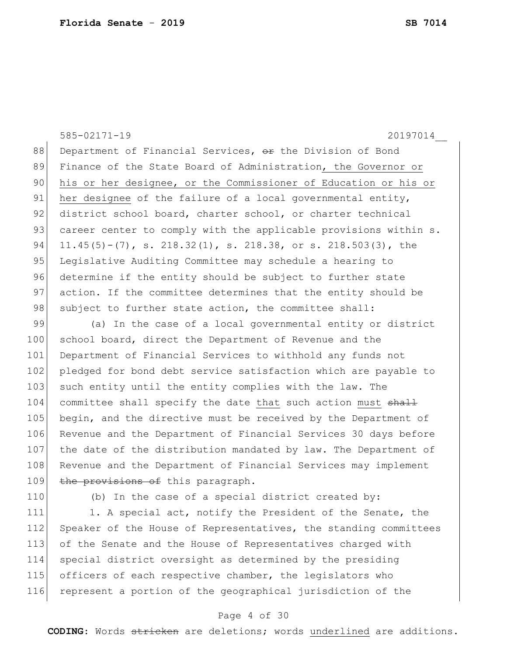585-02171-19 20197014\_\_ 88 Department of Financial Services,  $\Theta$ r the Division of Bond 89 Finance of the State Board of Administration, the Governor or 90 his or her designee, or the Commissioner of Education or his or 91 her designee of the failure of a local governmental entity, 92 district school board, charter school, or charter technical 93 career center to comply with the applicable provisions within s. 94 11.45(5)-(7), s. 218.32(1), s. 218.38, or s. 218.503(3), the 95 Legislative Auditing Committee may schedule a hearing to 96 determine if the entity should be subject to further state 97 action. If the committee determines that the entity should be 98 subject to further state action, the committee shall: 99 (a) In the case of a local governmental entity or district 100 school board, direct the Department of Revenue and the

101 Department of Financial Services to withhold any funds not 102 pledged for bond debt service satisfaction which are payable to 103 such entity until the entity complies with the law. The 104 committee shall specify the date that such action must shall 105 begin, and the directive must be received by the Department of 106 Revenue and the Department of Financial Services 30 days before 107 the date of the distribution mandated by law. The Department of 108 Revenue and the Department of Financial Services may implement 109 the provisions of this paragraph.

110 (b) In the case of a special district created by:

111 1. A special act, notify the President of the Senate, the 112 Speaker of the House of Representatives, the standing committees 113 of the Senate and the House of Representatives charged with 114 special district oversight as determined by the presiding 115 officers of each respective chamber, the legislators who 116 represent a portion of the geographical jurisdiction of the

## Page 4 of 30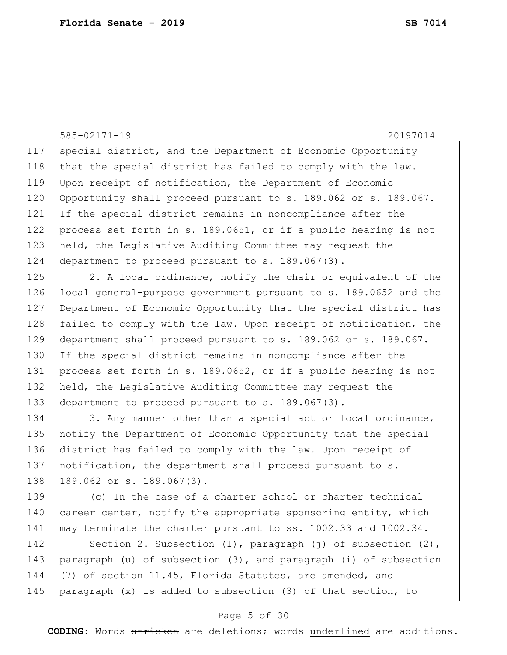585-02171-19 20197014\_\_ 117 special district, and the Department of Economic Opportunity 118 that the special district has failed to comply with the law. 119 Upon receipt of notification, the Department of Economic 120 Opportunity shall proceed pursuant to s. 189.062 or s. 189.067. 121 If the special district remains in noncompliance after the 122 process set forth in s. 189.0651, or if a public hearing is not 123 held, the Legislative Auditing Committee may request the 124 department to proceed pursuant to s. 189.067(3). 125 2. A local ordinance, notify the chair or equivalent of the 126 local general-purpose government pursuant to s. 189.0652 and the 127 Department of Economic Opportunity that the special district has 128 failed to comply with the law. Upon receipt of notification, the 129 department shall proceed pursuant to s. 189.062 or s. 189.067. 130 If the special district remains in noncompliance after the 131 process set forth in s. 189.0652, or if a public hearing is not 132 held, the Legislative Auditing Committee may request the 133 department to proceed pursuant to s. 189.067(3). 134 3. Any manner other than a special act or local ordinance, 135 notify the Department of Economic Opportunity that the special 136 district has failed to comply with the law. Upon receipt of 137 notification, the department shall proceed pursuant to s. 138 189.062 or s. 189.067(3). 139 (c) In the case of a charter school or charter technical 140 career center, notify the appropriate sponsoring entity, which 141 may terminate the charter pursuant to ss. 1002.33 and 1002.34. 142 Section 2. Subsection (1), paragraph (j) of subsection (2), 143 paragraph (u) of subsection (3), and paragraph (i) of subsection

144 (7) of section 11.45, Florida Statutes, are amended, and 145 paragraph  $(x)$  is added to subsection  $(3)$  of that section, to

## Page 5 of 30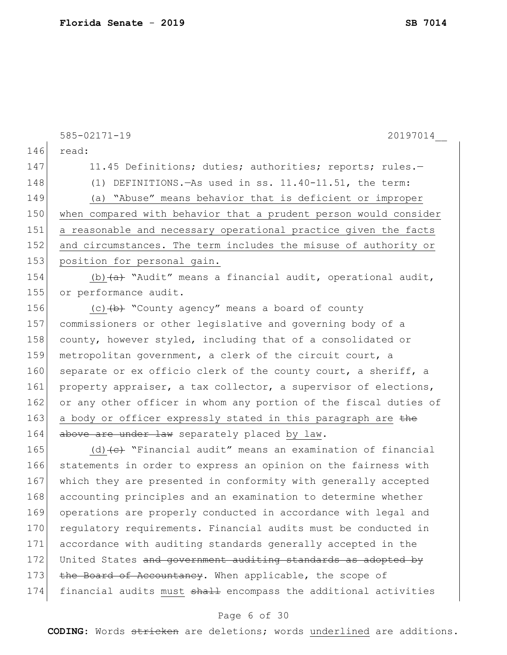|     | $585 - 02171 - 19$<br>20197014                                             |
|-----|----------------------------------------------------------------------------|
| 146 | read:                                                                      |
| 147 | 11.45 Definitions; duties; authorities; reports; rules.-                   |
| 148 | (1) DEFINITIONS. - As used in ss. 11.40-11.51, the term:                   |
| 149 | (a) "Abuse" means behavior that is deficient or improper                   |
| 150 | when compared with behavior that a prudent person would consider           |
| 151 | a reasonable and necessary operational practice given the facts            |
| 152 | and circumstances. The term includes the misuse of authority or            |
| 153 | position for personal gain.                                                |
| 154 | (b) $\overline{a}$ "Audit" means a financial audit, operational audit,     |
| 155 | or performance audit.                                                      |
| 156 | (c) $(b)$ "County agency" means a board of county                          |
| 157 | commissioners or other legislative and governing body of a                 |
| 158 | county, however styled, including that of a consolidated or                |
| 159 | metropolitan government, a clerk of the circuit court, a                   |
| 160 | separate or ex officio clerk of the county court, a sheriff, a             |
| 161 | property appraiser, a tax collector, a supervisor of elections,            |
| 162 | or any other officer in whom any portion of the fiscal duties of           |
| 163 | a body or officer expressly stated in this paragraph are the               |
| 164 | above are under law separately placed by law.                              |
| 165 | (d) $\left\{e\right\}$ "Financial audit" means an examination of financial |
| 166 | statements in order to express an opinion on the fairness with             |
| 167 | which they are presented in conformity with generally accepted             |
| 168 | accounting principles and an examination to determine whether              |
| 169 | operations are properly conducted in accordance with legal and             |
| 170 | regulatory requirements. Financial audits must be conducted in             |
| 171 | accordance with auditing standards generally accepted in the               |
| 172 | United States and government auditing standards as adopted by              |
| 173 | the Board of Accountancy. When applicable, the scope of                    |
| 174 | financial audits must shall encompass the additional activities            |

# Page 6 of 30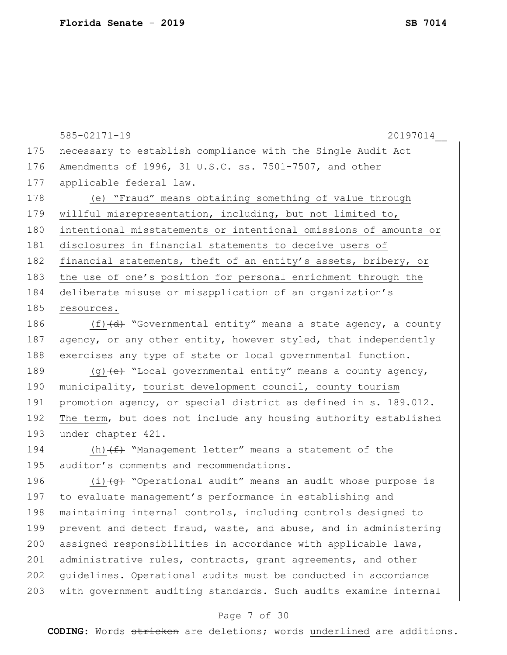```
175 necessary to establish compliance with the Single Audit Act
176 Amendments of 1996, 31 U.S.C. ss. 7501-7507, and other 
177 applicable federal law.
178 (e) "Fraud" means obtaining something of value through
179 willful misrepresentation, including, but not limited to, 
180 intentional misstatements or intentional omissions of amounts or
181 disclosures in financial statements to deceive users of
182 financial statements, theft of an entity's assets, bribery, or
183 the use of one's position for personal enrichment through the
184 deliberate misuse or misapplication of an organization's 
185 resources.
186 (f) (d) "Governmental entity" means a state agency, a county
187 agency, or any other entity, however styled, that independently
188 exercises any type of state or local governmental function.
189 (q) (e) "Local governmental entity" means a county agency,
190 municipality, tourist development council, county tourism
191 promotion agency, or special district as defined in s. 189.012.
192 The term, but does not include any housing authority established
193 under chapter 421.
194 (h) (f) "Management letter" means a statement of the
195 auditor's comments and recommendations.
196 (i) (g) "Operational audit" means an audit whose purpose is
197 to evaluate management's performance in establishing and
198 maintaining internal controls, including controls designed to
199 prevent and detect fraud, waste, and abuse, and in administering
200 assigned responsibilities in accordance with applicable laws,
201 administrative rules, contracts, grant agreements, and other
202 | guidelines. Operational audits must be conducted in accordance
203 with government auditing standards. Such audits examine internal
```
585-02171-19 20197014\_\_

### Page 7 of 30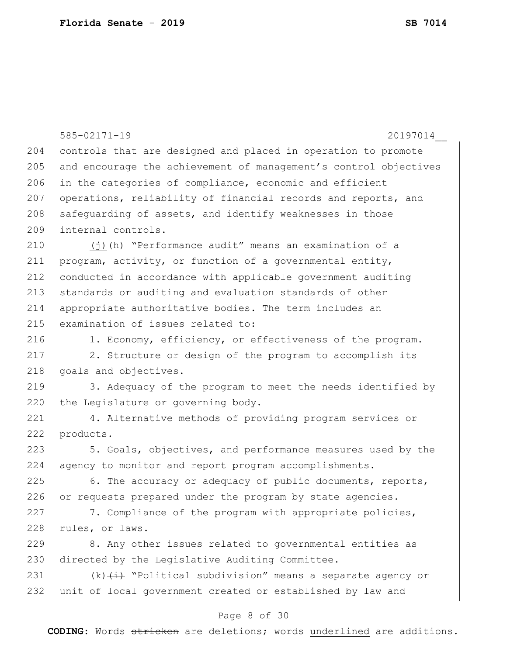|     | $585 - 02171 - 19$<br>20197014                                                  |
|-----|---------------------------------------------------------------------------------|
| 204 | controls that are designed and placed in operation to promote                   |
| 205 | and encourage the achievement of management's control objectives                |
| 206 | in the categories of compliance, economic and efficient                         |
| 207 | operations, reliability of financial records and reports, and                   |
| 208 | safequarding of assets, and identify weaknesses in those                        |
| 209 | internal controls.                                                              |
|     |                                                                                 |
| 210 | $(j)$ $(h)$ "Performance audit" means an examination of a                       |
| 211 | program, activity, or function of a governmental entity,                        |
| 212 | conducted in accordance with applicable government auditing                     |
| 213 | standards or auditing and evaluation standards of other                         |
| 214 | appropriate authoritative bodies. The term includes an                          |
| 215 | examination of issues related to:                                               |
| 216 | 1. Economy, efficiency, or effectiveness of the program.                        |
| 217 | 2. Structure or design of the program to accomplish its                         |
| 218 | goals and objectives.                                                           |
| 219 | 3. Adequacy of the program to meet the needs identified by                      |
| 220 | the Legislature or governing body.                                              |
| 221 | 4. Alternative methods of providing program services or                         |
| 222 | products.                                                                       |
| 223 | 5. Goals, objectives, and performance measures used by the                      |
| 224 | agency to monitor and report program accomplishments.                           |
| 225 | 6. The accuracy or adequacy of public documents, reports,                       |
| 226 | or requests prepared under the program by state agencies.                       |
| 227 | 7. Compliance of the program with appropriate policies,                         |
| 228 | rules, or laws.                                                                 |
| 229 | 8. Any other issues related to governmental entities as                         |
| 230 | directed by the Legislative Auditing Committee.                                 |
| 231 | (k) $\overleftrightarrow{a}$ "Political subdivision" means a separate agency or |
| 232 | unit of local government created or established by law and                      |
|     | Page 8 of 30                                                                    |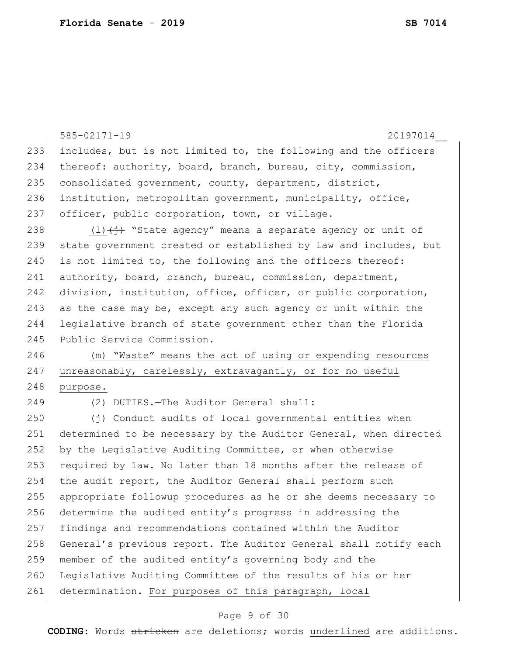|     | 585-02171-19<br>20197014                                         |
|-----|------------------------------------------------------------------|
| 233 | includes, but is not limited to, the following and the officers  |
| 234 | thereof: authority, board, branch, bureau, city, commission,     |
| 235 | consolidated government, county, department, district,           |
| 236 | institution, metropolitan government, municipality, office,      |
| 237 | officer, public corporation, town, or village.                   |
| 238 | $(1)$ $(+)$ "State agency" means a separate agency or unit of    |
| 239 | state government created or established by law and includes, but |
| 240 | is not limited to, the following and the officers thereof:       |
| 241 | authority, board, branch, bureau, commission, department,        |
| 242 | division, institution, office, officer, or public corporation,   |
| 243 | as the case may be, except any such agency or unit within the    |
| 244 | legislative branch of state government other than the Florida    |
| 245 | Public Service Commission.                                       |
| 246 | (m) "Waste" means the act of using or expending resources        |
| 247 | unreasonably, carelessly, extravagantly, or for no useful        |
| 248 | purpose.                                                         |
| 249 | (2) DUTIES. - The Auditor General shall:                         |
| 250 | (j) Conduct audits of local governmental entities when           |
| 251 | determined to be necessary by the Auditor General, when directed |
| 252 | by the Legislative Auditing Committee, or when otherwise         |
| 253 | required by law. No later than 18 months after the release of    |
| 254 | the audit report, the Auditor General shall perform such         |
| 255 | appropriate followup procedures as he or she deems necessary to  |
| 256 | determine the audited entity's progress in addressing the        |
| 257 | findings and recommendations contained within the Auditor        |
| 258 | General's previous report. The Auditor General shall notify each |
| 259 | member of the audited entity's governing body and the            |
| 260 | Legislative Auditing Committee of the results of his or her      |
| 261 | determination. For purposes of this paragraph, local             |

# Page 9 of 30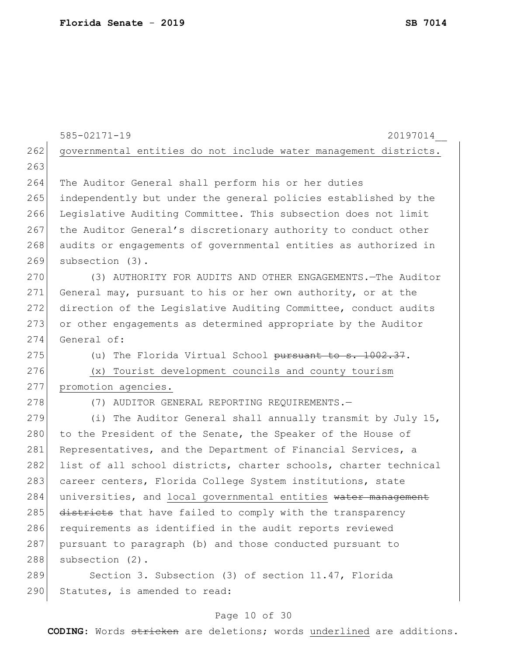| 262<br>governmental entities do not include water management districts.<br>263<br>264<br>The Auditor General shall perform his or her duties<br>265<br>independently but under the general policies established by the<br>266<br>Legislative Auditing Committee. This subsection does not limit<br>267<br>the Auditor General's discretionary authority to conduct other<br>268<br>audits or engagements of governmental entities as authorized in<br>269<br>subsection (3).<br>270<br>(3) AUTHORITY FOR AUDITS AND OTHER ENGAGEMENTS. - The Auditor<br>271<br>General may, pursuant to his or her own authority, or at the<br>272<br>direction of the Legislative Auditing Committee, conduct audits<br>273<br>or other engagements as determined appropriate by the Auditor<br>274<br>General of:<br>275<br>(u) The Florida Virtual School pursuant to s. 1002.37.<br>276<br>(x) Tourist development councils and county tourism<br>277<br>promotion agencies.<br>278<br>(7) AUDITOR GENERAL REPORTING REQUIREMENTS.-<br>279<br>(i) The Auditor General shall annually transmit by July 15,<br>280<br>to the President of the Senate, the Speaker of the House of<br>281<br>Representatives, and the Department of Financial Services, a<br>282<br>list of all school districts, charter schools, charter technical<br>283<br>career centers, Florida College System institutions, state<br>284<br>universities, and local governmental entities water management<br>285<br>districts that have failed to comply with the transparency<br>286<br>requirements as identified in the audit reports reviewed<br>287<br>pursuant to paragraph (b) and those conducted pursuant to<br>288<br>subsection (2).<br>289<br>Section 3. Subsection (3) of section 11.47, Florida |     | 585-02171-19<br>20197014      |
|-------------------------------------------------------------------------------------------------------------------------------------------------------------------------------------------------------------------------------------------------------------------------------------------------------------------------------------------------------------------------------------------------------------------------------------------------------------------------------------------------------------------------------------------------------------------------------------------------------------------------------------------------------------------------------------------------------------------------------------------------------------------------------------------------------------------------------------------------------------------------------------------------------------------------------------------------------------------------------------------------------------------------------------------------------------------------------------------------------------------------------------------------------------------------------------------------------------------------------------------------------------------------------------------------------------------------------------------------------------------------------------------------------------------------------------------------------------------------------------------------------------------------------------------------------------------------------------------------------------------------------------------------------------------------------------------------------------------------------------------------------------------------|-----|-------------------------------|
|                                                                                                                                                                                                                                                                                                                                                                                                                                                                                                                                                                                                                                                                                                                                                                                                                                                                                                                                                                                                                                                                                                                                                                                                                                                                                                                                                                                                                                                                                                                                                                                                                                                                                                                                                                         |     |                               |
|                                                                                                                                                                                                                                                                                                                                                                                                                                                                                                                                                                                                                                                                                                                                                                                                                                                                                                                                                                                                                                                                                                                                                                                                                                                                                                                                                                                                                                                                                                                                                                                                                                                                                                                                                                         |     |                               |
|                                                                                                                                                                                                                                                                                                                                                                                                                                                                                                                                                                                                                                                                                                                                                                                                                                                                                                                                                                                                                                                                                                                                                                                                                                                                                                                                                                                                                                                                                                                                                                                                                                                                                                                                                                         |     |                               |
|                                                                                                                                                                                                                                                                                                                                                                                                                                                                                                                                                                                                                                                                                                                                                                                                                                                                                                                                                                                                                                                                                                                                                                                                                                                                                                                                                                                                                                                                                                                                                                                                                                                                                                                                                                         |     |                               |
|                                                                                                                                                                                                                                                                                                                                                                                                                                                                                                                                                                                                                                                                                                                                                                                                                                                                                                                                                                                                                                                                                                                                                                                                                                                                                                                                                                                                                                                                                                                                                                                                                                                                                                                                                                         |     |                               |
|                                                                                                                                                                                                                                                                                                                                                                                                                                                                                                                                                                                                                                                                                                                                                                                                                                                                                                                                                                                                                                                                                                                                                                                                                                                                                                                                                                                                                                                                                                                                                                                                                                                                                                                                                                         |     |                               |
|                                                                                                                                                                                                                                                                                                                                                                                                                                                                                                                                                                                                                                                                                                                                                                                                                                                                                                                                                                                                                                                                                                                                                                                                                                                                                                                                                                                                                                                                                                                                                                                                                                                                                                                                                                         |     |                               |
|                                                                                                                                                                                                                                                                                                                                                                                                                                                                                                                                                                                                                                                                                                                                                                                                                                                                                                                                                                                                                                                                                                                                                                                                                                                                                                                                                                                                                                                                                                                                                                                                                                                                                                                                                                         |     |                               |
|                                                                                                                                                                                                                                                                                                                                                                                                                                                                                                                                                                                                                                                                                                                                                                                                                                                                                                                                                                                                                                                                                                                                                                                                                                                                                                                                                                                                                                                                                                                                                                                                                                                                                                                                                                         |     |                               |
|                                                                                                                                                                                                                                                                                                                                                                                                                                                                                                                                                                                                                                                                                                                                                                                                                                                                                                                                                                                                                                                                                                                                                                                                                                                                                                                                                                                                                                                                                                                                                                                                                                                                                                                                                                         |     |                               |
|                                                                                                                                                                                                                                                                                                                                                                                                                                                                                                                                                                                                                                                                                                                                                                                                                                                                                                                                                                                                                                                                                                                                                                                                                                                                                                                                                                                                                                                                                                                                                                                                                                                                                                                                                                         |     |                               |
|                                                                                                                                                                                                                                                                                                                                                                                                                                                                                                                                                                                                                                                                                                                                                                                                                                                                                                                                                                                                                                                                                                                                                                                                                                                                                                                                                                                                                                                                                                                                                                                                                                                                                                                                                                         |     |                               |
|                                                                                                                                                                                                                                                                                                                                                                                                                                                                                                                                                                                                                                                                                                                                                                                                                                                                                                                                                                                                                                                                                                                                                                                                                                                                                                                                                                                                                                                                                                                                                                                                                                                                                                                                                                         |     |                               |
|                                                                                                                                                                                                                                                                                                                                                                                                                                                                                                                                                                                                                                                                                                                                                                                                                                                                                                                                                                                                                                                                                                                                                                                                                                                                                                                                                                                                                                                                                                                                                                                                                                                                                                                                                                         |     |                               |
|                                                                                                                                                                                                                                                                                                                                                                                                                                                                                                                                                                                                                                                                                                                                                                                                                                                                                                                                                                                                                                                                                                                                                                                                                                                                                                                                                                                                                                                                                                                                                                                                                                                                                                                                                                         |     |                               |
|                                                                                                                                                                                                                                                                                                                                                                                                                                                                                                                                                                                                                                                                                                                                                                                                                                                                                                                                                                                                                                                                                                                                                                                                                                                                                                                                                                                                                                                                                                                                                                                                                                                                                                                                                                         |     |                               |
|                                                                                                                                                                                                                                                                                                                                                                                                                                                                                                                                                                                                                                                                                                                                                                                                                                                                                                                                                                                                                                                                                                                                                                                                                                                                                                                                                                                                                                                                                                                                                                                                                                                                                                                                                                         |     |                               |
|                                                                                                                                                                                                                                                                                                                                                                                                                                                                                                                                                                                                                                                                                                                                                                                                                                                                                                                                                                                                                                                                                                                                                                                                                                                                                                                                                                                                                                                                                                                                                                                                                                                                                                                                                                         |     |                               |
|                                                                                                                                                                                                                                                                                                                                                                                                                                                                                                                                                                                                                                                                                                                                                                                                                                                                                                                                                                                                                                                                                                                                                                                                                                                                                                                                                                                                                                                                                                                                                                                                                                                                                                                                                                         |     |                               |
|                                                                                                                                                                                                                                                                                                                                                                                                                                                                                                                                                                                                                                                                                                                                                                                                                                                                                                                                                                                                                                                                                                                                                                                                                                                                                                                                                                                                                                                                                                                                                                                                                                                                                                                                                                         |     |                               |
|                                                                                                                                                                                                                                                                                                                                                                                                                                                                                                                                                                                                                                                                                                                                                                                                                                                                                                                                                                                                                                                                                                                                                                                                                                                                                                                                                                                                                                                                                                                                                                                                                                                                                                                                                                         |     |                               |
|                                                                                                                                                                                                                                                                                                                                                                                                                                                                                                                                                                                                                                                                                                                                                                                                                                                                                                                                                                                                                                                                                                                                                                                                                                                                                                                                                                                                                                                                                                                                                                                                                                                                                                                                                                         |     |                               |
|                                                                                                                                                                                                                                                                                                                                                                                                                                                                                                                                                                                                                                                                                                                                                                                                                                                                                                                                                                                                                                                                                                                                                                                                                                                                                                                                                                                                                                                                                                                                                                                                                                                                                                                                                                         |     |                               |
|                                                                                                                                                                                                                                                                                                                                                                                                                                                                                                                                                                                                                                                                                                                                                                                                                                                                                                                                                                                                                                                                                                                                                                                                                                                                                                                                                                                                                                                                                                                                                                                                                                                                                                                                                                         |     |                               |
|                                                                                                                                                                                                                                                                                                                                                                                                                                                                                                                                                                                                                                                                                                                                                                                                                                                                                                                                                                                                                                                                                                                                                                                                                                                                                                                                                                                                                                                                                                                                                                                                                                                                                                                                                                         |     |                               |
|                                                                                                                                                                                                                                                                                                                                                                                                                                                                                                                                                                                                                                                                                                                                                                                                                                                                                                                                                                                                                                                                                                                                                                                                                                                                                                                                                                                                                                                                                                                                                                                                                                                                                                                                                                         |     |                               |
|                                                                                                                                                                                                                                                                                                                                                                                                                                                                                                                                                                                                                                                                                                                                                                                                                                                                                                                                                                                                                                                                                                                                                                                                                                                                                                                                                                                                                                                                                                                                                                                                                                                                                                                                                                         |     |                               |
|                                                                                                                                                                                                                                                                                                                                                                                                                                                                                                                                                                                                                                                                                                                                                                                                                                                                                                                                                                                                                                                                                                                                                                                                                                                                                                                                                                                                                                                                                                                                                                                                                                                                                                                                                                         |     |                               |
|                                                                                                                                                                                                                                                                                                                                                                                                                                                                                                                                                                                                                                                                                                                                                                                                                                                                                                                                                                                                                                                                                                                                                                                                                                                                                                                                                                                                                                                                                                                                                                                                                                                                                                                                                                         | 290 | Statutes, is amended to read: |

# Page 10 of 30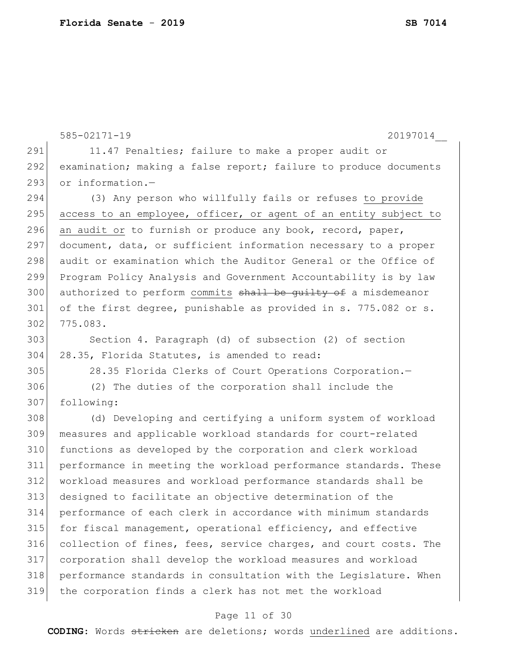```
585-02171-19 20197014__
291 11.47 Penalties; failure to make a proper audit or
292 examination; making a false report; failure to produce documents
293 or information.-
294 (3) Any person who willfully fails or refuses to provide 
295 access to an employee, officer, or agent of an entity subject to
296 an audit or to furnish or produce any book, record, paper,
297 document, data, or sufficient information necessary to a proper
298 audit or examination which the Auditor General or the Office of 
299 Program Policy Analysis and Government Accountability is by law 
300 authorized to perform commits shall be guilty of a misdemeanor
301 of the first degree, punishable as provided in s. 775.082 or s.
302 775.083.
303 Section 4. Paragraph (d) of subsection (2) of section 
304 28.35, Florida Statutes, is amended to read:
305 28.35 Florida Clerks of Court Operations Corporation.—
306 (2) The duties of the corporation shall include the 
307 following:
308 (d) Developing and certifying a uniform system of workload 
309 measures and applicable workload standards for court-related 
310 functions as developed by the corporation and clerk workload 
311 performance in meeting the workload performance standards. These 
312 workload measures and workload performance standards shall be 
313 designed to facilitate an objective determination of the 
314 performance of each clerk in accordance with minimum standards 
315 for fiscal management, operational efficiency, and effective 
316 collection of fines, fees, service charges, and court costs. The 
317 corporation shall develop the workload measures and workload 
318 performance standards in consultation with the Legislature. When 
319 the corporation finds a clerk has not met the workload
```
## Page 11 of 30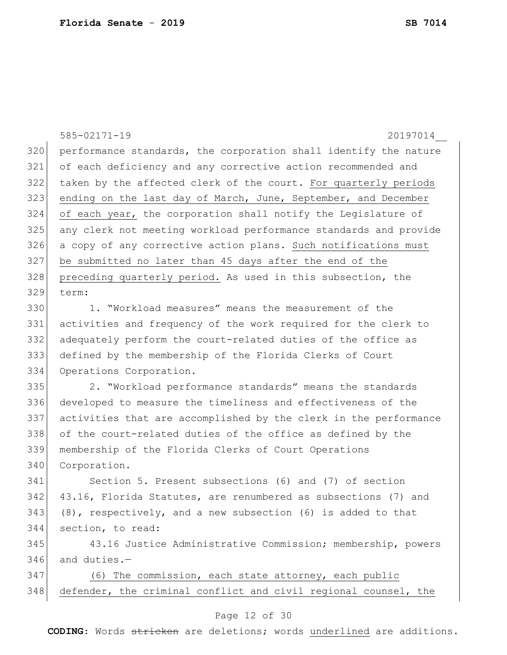585-02171-19 20197014\_\_ performance standards, the corporation shall identify the nature of each deficiency and any corrective action recommended and taken by the affected clerk of the court. For quarterly periods 323 ending on the last day of March, June, September, and December of each year, the corporation shall notify the Legislature of any clerk not meeting workload performance standards and provide a copy of any corrective action plans. Such notifications must be submitted no later than 45 days after the end of the 328 preceding quarterly period. As used in this subsection, the term: 1. "Workload measures" means the measurement of the activities and frequency of the work required for the clerk to adequately perform the court-related duties of the office as defined by the membership of the Florida Clerks of Court Operations Corporation. 2. "Workload performance standards" means the standards developed to measure the timeliness and effectiveness of the activities that are accomplished by the clerk in the performance of the court-related duties of the office as defined by the membership of the Florida Clerks of Court Operations 340 Corporation. Section 5. Present subsections (6) and (7) of section 342 43.16, Florida Statutes, are renumbered as subsections (7) and (8), respectively, and a new subsection (6) is added to that section, to read: 43.16 Justice Administrative Commission; membership, powers and duties.— 347 (6) The commission, each state attorney, each public defender, the criminal conflict and civil regional counsel, the

### Page 12 of 30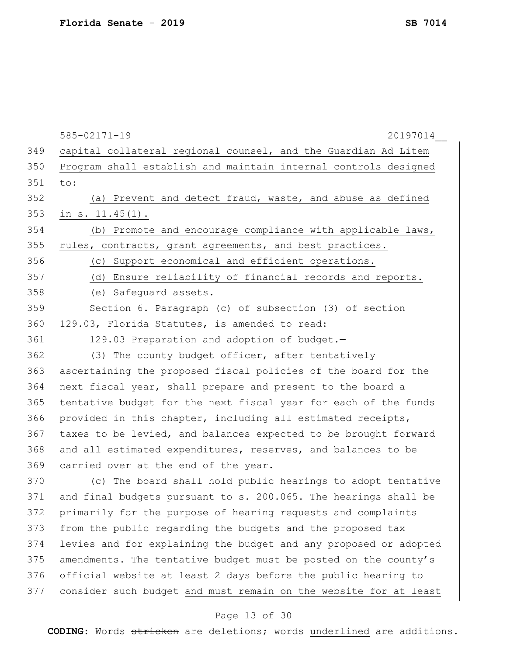|     | $585 - 02171 - 19$<br>20197014                                   |
|-----|------------------------------------------------------------------|
| 349 | capital collateral regional counsel, and the Guardian Ad Litem   |
| 350 | Program shall establish and maintain internal controls designed  |
| 351 | to:                                                              |
| 352 | (a) Prevent and detect fraud, waste, and abuse as defined        |
| 353 | in $s. 11.45(1)$ .                                               |
| 354 | (b) Promote and encourage compliance with applicable laws,       |
| 355 | rules, contracts, grant agreements, and best practices.          |
| 356 | (c) Support economical and efficient operations.                 |
| 357 | (d) Ensure reliability of financial records and reports.         |
| 358 | (e) Safeguard assets.                                            |
| 359 | Section 6. Paragraph (c) of subsection (3) of section            |
| 360 | 129.03, Florida Statutes, is amended to read:                    |
| 361 | 129.03 Preparation and adoption of budget.-                      |
| 362 | (3) The county budget officer, after tentatively                 |
| 363 | ascertaining the proposed fiscal policies of the board for the   |
| 364 | next fiscal year, shall prepare and present to the board a       |
| 365 | tentative budget for the next fiscal year for each of the funds  |
| 366 | provided in this chapter, including all estimated receipts,      |
| 367 | taxes to be levied, and balances expected to be brought forward  |
| 368 | and all estimated expenditures, reserves, and balances to be     |
| 369 | carried over at the end of the year.                             |
| 370 | (c) The board shall hold public hearings to adopt tentative      |
| 371 | and final budgets pursuant to s. 200.065. The hearings shall be  |
| 372 | primarily for the purpose of hearing requests and complaints     |
| 373 | from the public regarding the budgets and the proposed tax       |
| 374 | levies and for explaining the budget and any proposed or adopted |
| 375 | amendments. The tentative budget must be posted on the county's  |
| 376 | official website at least 2 days before the public hearing to    |
| 377 | consider such budget and must remain on the website for at least |
|     | Page 13 of 30                                                    |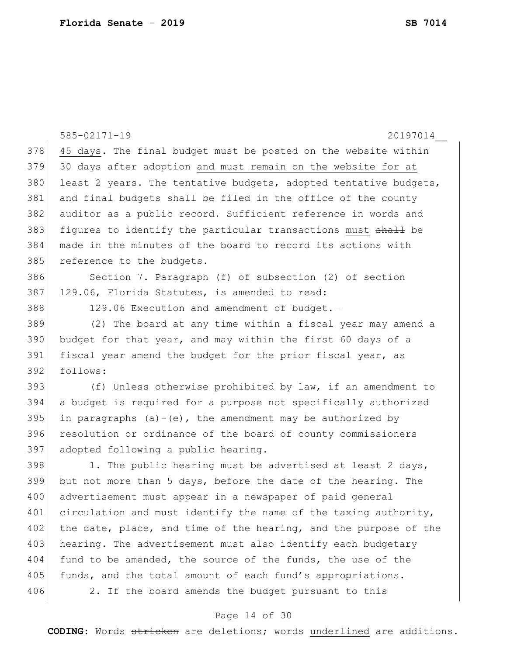|     | 585-02171-19<br>20197014                                         |
|-----|------------------------------------------------------------------|
| 378 | 45 days. The final budget must be posted on the website within   |
| 379 | 30 days after adoption and must remain on the website for at     |
| 380 | least 2 years. The tentative budgets, adopted tentative budgets, |
| 381 | and final budgets shall be filed in the office of the county     |
| 382 | auditor as a public record. Sufficient reference in words and    |
| 383 | figures to identify the particular transactions must shall be    |
| 384 | made in the minutes of the board to record its actions with      |
| 385 | reference to the budgets.                                        |
| 386 | Section 7. Paragraph (f) of subsection (2) of section            |
| 387 | 129.06, Florida Statutes, is amended to read:                    |
| 388 | 129.06 Execution and amendment of budget.-                       |
| 389 | (2) The board at any time within a fiscal year may amend a       |
| 390 | budget for that year, and may within the first 60 days of a      |
| 391 | fiscal year amend the budget for the prior fiscal year, as       |
| 392 | follows:                                                         |
| 393 | (f) Unless otherwise prohibited by law, if an amendment to       |
| 394 | a budget is required for a purpose not specifically authorized   |
| 395 | in paragraphs $(a) - (e)$ , the amendment may be authorized by   |
| 396 | resolution or ordinance of the board of county commissioners     |
| 397 | adopted following a public hearing.                              |
| 398 | 1. The public hearing must be advertised at least 2 days,        |
| 399 | but not more than 5 days, before the date of the hearing. The    |
| 400 | advertisement must appear in a newspaper of paid general         |
| 401 | circulation and must identify the name of the taxing authority,  |
| 402 | the date, place, and time of the hearing, and the purpose of the |
| 403 | hearing. The advertisement must also identify each budgetary     |
| 404 | fund to be amended, the source of the funds, the use of the      |
| 405 | funds, and the total amount of each fund's appropriations.       |
| 406 | 2. If the board amends the budget pursuant to this               |
|     |                                                                  |

# Page 14 of 30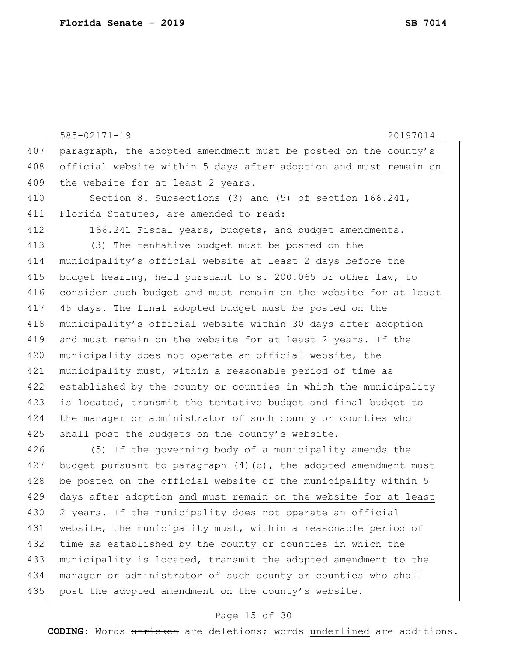|     | 20197014<br>$585 - 02171 - 19$                                     |
|-----|--------------------------------------------------------------------|
| 407 | paragraph, the adopted amendment must be posted on the county's    |
| 408 | official website within 5 days after adoption and must remain on   |
| 409 | the website for at least 2 years.                                  |
| 410 | Section 8. Subsections (3) and (5) of section 166.241,             |
| 411 | Florida Statutes, are amended to read:                             |
| 412 | 166.241 Fiscal years, budgets, and budget amendments.-             |
| 413 | (3) The tentative budget must be posted on the                     |
| 414 | municipality's official website at least 2 days before the         |
| 415 | budget hearing, held pursuant to s. 200.065 or other law, to       |
| 416 | consider such budget and must remain on the website for at least   |
| 417 | 45 days. The final adopted budget must be posted on the            |
| 418 | municipality's official website within 30 days after adoption      |
| 419 | and must remain on the website for at least 2 years. If the        |
| 420 | municipality does not operate an official website, the             |
| 421 | municipality must, within a reasonable period of time as           |
| 422 | established by the county or counties in which the municipality    |
| 423 | is located, transmit the tentative budget and final budget to      |
| 424 | the manager or administrator of such county or counties who        |
| 425 | shall post the budgets on the county's website.                    |
| 426 | (5) If the governing body of a municipality amends the             |
| 427 | budget pursuant to paragraph $(4)$ (c), the adopted amendment must |
| 428 | be posted on the official website of the municipality within 5     |
| 429 | days after adoption and must remain on the website for at least    |
| 430 | 2 years. If the municipality does not operate an official          |
| 431 | website, the municipality must, within a reasonable period of      |
| 432 | time as established by the county or counties in which the         |
| 433 | municipality is located, transmit the adopted amendment to the     |
| 434 | manager or administrator of such county or counties who shall      |
| 435 | post the adopted amendment on the county's website.                |

# Page 15 of 30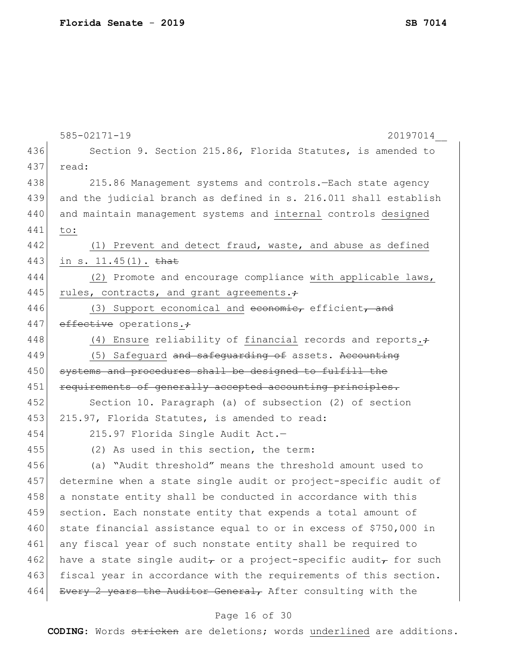|     | 585-02171-19<br>20197014                                                                 |
|-----|------------------------------------------------------------------------------------------|
| 436 | Section 9. Section 215.86, Florida Statutes, is amended to                               |
| 437 | read:                                                                                    |
| 438 | 215.86 Management systems and controls. - Each state agency                              |
| 439 | and the judicial branch as defined in s. 216.011 shall establish                         |
| 440 | and maintain management systems and internal controls designed                           |
| 441 | to:                                                                                      |
| 442 | (1) Prevent and detect fraud, waste, and abuse as defined                                |
| 443 | in s. $11.45(1)$ . that                                                                  |
| 444 | (2) Promote and encourage compliance with applicable laws,                               |
| 445 | rules, contracts, and grant agreements.;                                                 |
| 446 | (3) Support economical and economic, efficient, and                                      |
| 447 | effective operations.+                                                                   |
| 448 | (4) Ensure reliability of financial records and reports. $\div$                          |
| 449 | (5) Safequard and safequarding of assets. Accounting                                     |
| 450 | systems and procedures shall be designed to fulfill the                                  |
| 451 | requirements of generally accepted accounting principles.                                |
| 452 | Section 10. Paragraph (a) of subsection (2) of section                                   |
| 453 | 215.97, Florida Statutes, is amended to read:                                            |
| 454 | 215.97 Florida Single Audit Act.-                                                        |
| 455 | (2) As used in this section, the term:                                                   |
| 456 | (a) "Audit threshold" means the threshold amount used to                                 |
| 457 | determine when a state single audit or project-specific audit of                         |
| 458 | a nonstate entity shall be conducted in accordance with this                             |
| 459 | section. Each nonstate entity that expends a total amount of                             |
| 460 | state financial assistance equal to or in excess of \$750,000 in                         |
| 461 | any fiscal year of such nonstate entity shall be required to                             |
| 462 | have a state single audit <sub>r</sub> or a project-specific audit <sub>r</sub> for such |
| 463 | fiscal year in accordance with the requirements of this section.                         |
| 464 | Every 2 years the Auditor General, After consulting with the                             |
|     |                                                                                          |

## Page 16 of 30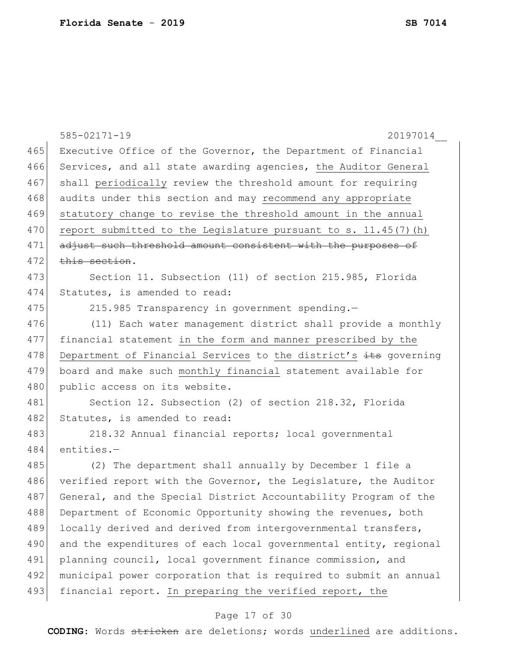|     | $585 - 02171 - 19$<br>20197014                                    |
|-----|-------------------------------------------------------------------|
| 465 | Executive Office of the Governor, the Department of Financial     |
| 466 | Services, and all state awarding agencies, the Auditor General    |
| 467 | shall periodically review the threshold amount for requiring      |
| 468 | audits under this section and may recommend any appropriate       |
| 469 | statutory change to revise the threshold amount in the annual     |
| 470 | report submitted to the Legislature pursuant to s. $11.45(7)$ (h) |
| 471 | adjust such threshold amount consistent with the purposes of      |
| 472 | this section.                                                     |
| 473 | Section 11. Subsection (11) of section 215.985, Florida           |
| 474 | Statutes, is amended to read:                                     |
| 475 | 215.985 Transparency in government spending.-                     |
| 476 | (11) Each water management district shall provide a monthly       |
| 477 | financial statement in the form and manner prescribed by the      |
| 478 | Department of Financial Services to the district's its governing  |
| 479 | board and make such monthly financial statement available for     |
| 480 | public access on its website.                                     |
| 481 | Section 12. Subsection (2) of section 218.32, Florida             |
| 482 | Statutes, is amended to read:                                     |
| 483 | 218.32 Annual financial reports; local governmental               |
| 484 | entities.-                                                        |
| 485 | (2) The department shall annually by December 1 file a            |
| 486 | verified report with the Governor, the Legislature, the Auditor   |
| 487 | General, and the Special District Accountability Program of the   |
| 488 | Department of Economic Opportunity showing the revenues, both     |
| 489 | locally derived and derived from intergovernmental transfers,     |
| 490 | and the expenditures of each local governmental entity, regional  |
| 491 | planning council, local government finance commission, and        |
| 492 | municipal power corporation that is required to submit an annual  |
| 493 | financial report. In preparing the verified report, the           |
|     |                                                                   |

# Page 17 of 30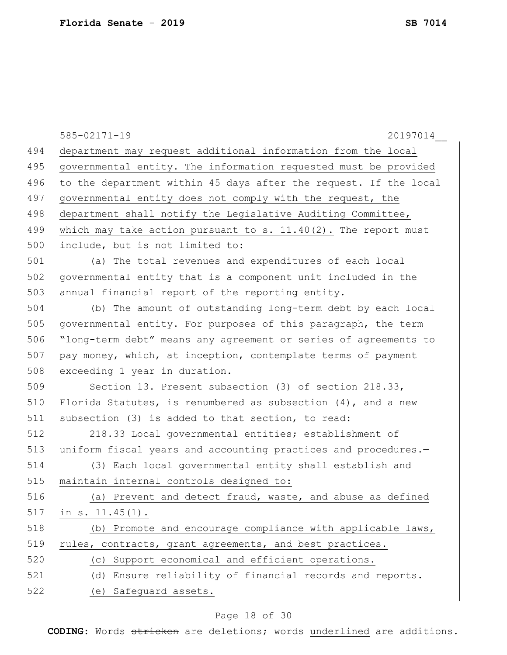|     | $585 - 02171 - 19$<br>20197014                                   |
|-----|------------------------------------------------------------------|
| 494 | department may request additional information from the local     |
| 495 | governmental entity. The information requested must be provided  |
| 496 | to the department within 45 days after the request. If the local |
| 497 | governmental entity does not comply with the request, the        |
| 498 | department shall notify the Legislative Auditing Committee,      |
| 499 | which may take action pursuant to s. 11.40(2). The report must   |
| 500 | include, but is not limited to:                                  |
| 501 | (a) The total revenues and expenditures of each local            |
| 502 | governmental entity that is a component unit included in the     |
| 503 | annual financial report of the reporting entity.                 |
| 504 | (b) The amount of outstanding long-term debt by each local       |
| 505 | governmental entity. For purposes of this paragraph, the term    |
| 506 | "long-term debt" means any agreement or series of agreements to  |
| 507 | pay money, which, at inception, contemplate terms of payment     |
| 508 | exceeding 1 year in duration.                                    |
| 509 | Section 13. Present subsection (3) of section 218.33,            |
| 510 | Florida Statutes, is renumbered as subsection $(4)$ , and a new  |
| 511 | subsection (3) is added to that section, to read:                |
| 512 | 218.33 Local governmental entities; establishment of             |
| 513 | uniform fiscal years and accounting practices and procedures.-   |
| 514 | (3) Each local governmental entity shall establish and           |
| 515 | maintain internal controls designed to:                          |
| 516 | (a) Prevent and detect fraud, waste, and abuse as defined        |
| 517 | in $s. 11.45(1)$ .                                               |
| 518 | (b) Promote and encourage compliance with applicable laws,       |
| 519 | rules, contracts, grant agreements, and best practices.          |
| 520 | (c) Support economical and efficient operations.                 |
| 521 | (d) Ensure reliability of financial records and reports.         |
| 522 | (e) Safeguard assets.                                            |
|     |                                                                  |

# Page 18 of 30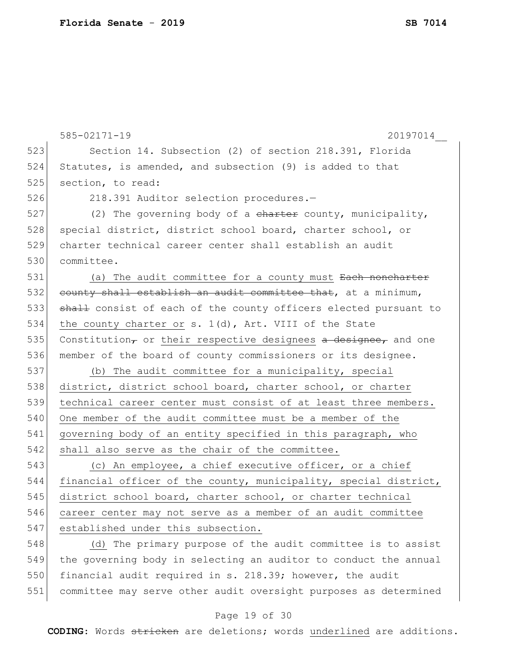|     | $585 - 02171 - 19$<br>20197014                                    |
|-----|-------------------------------------------------------------------|
| 523 | Section 14. Subsection (2) of section 218.391, Florida            |
| 524 | Statutes, is amended, and subsection (9) is added to that         |
| 525 | section, to read:                                                 |
| 526 | 218.391 Auditor selection procedures.-                            |
| 527 | (2) The governing body of a charter county, municipality,         |
| 528 | special district, district school board, charter school, or       |
| 529 | charter technical career center shall establish an audit          |
| 530 | committee.                                                        |
| 531 | (a) The audit committee for a county must Each noncharter         |
| 532 | county shall establish an audit committee that, at a minimum,     |
| 533 | shall consist of each of the county officers elected pursuant to  |
| 534 | the county charter or s. 1(d), Art. VIII of the State             |
| 535 | Constitution, or their respective designees $a$ designee, and one |
| 536 | member of the board of county commissioners or its designee.      |
| 537 | (b) The audit committee for a municipality, special               |
| 538 | district, district school board, charter school, or charter       |
| 539 | technical career center must consist of at least three members.   |
| 540 | One member of the audit committee must be a member of the         |
| 541 | governing body of an entity specified in this paragraph, who      |
| 542 | shall also serve as the chair of the committee.                   |
| 543 | (c) An employee, a chief executive officer, or a chief            |
| 544 | financial officer of the county, municipality, special district,  |
| 545 | district school board, charter school, or charter technical       |
| 546 | career center may not serve as a member of an audit committee     |
| 547 | established under this subsection.                                |
| 548 | (d) The primary purpose of the audit committee is to assist       |
| 549 | the governing body in selecting an auditor to conduct the annual  |
| 550 | financial audit required in s. 218.39; however, the audit         |
| 551 | committee may serve other audit oversight purposes as determined  |

# Page 19 of 30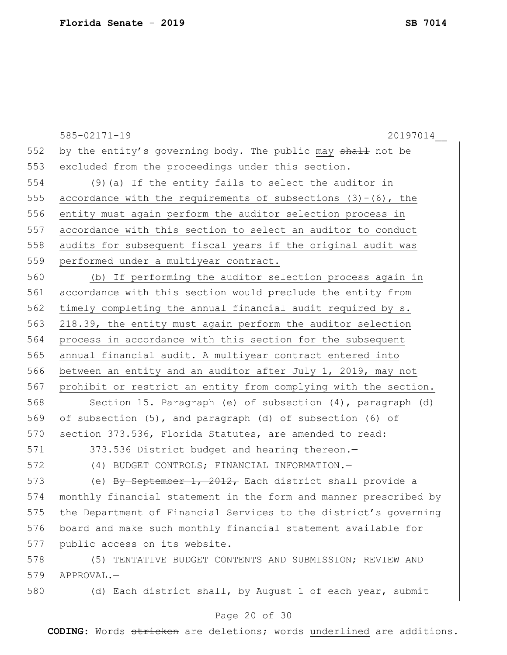|     | $585 - 02171 - 19$<br>20197014                                   |
|-----|------------------------------------------------------------------|
| 552 | by the entity's governing body. The public may shall not be      |
| 553 | excluded from the proceedings under this section.                |
| 554 | (9) (a) If the entity fails to select the auditor in             |
| 555 | accordance with the requirements of subsections $(3)-(6)$ , the  |
| 556 | entity must again perform the auditor selection process in       |
| 557 | accordance with this section to select an auditor to conduct     |
| 558 | audits for subsequent fiscal years if the original audit was     |
| 559 | performed under a multiyear contract.                            |
| 560 | (b) If performing the auditor selection process again in         |
| 561 | accordance with this section would preclude the entity from      |
| 562 | timely completing the annual financial audit required by s.      |
| 563 | 218.39, the entity must again perform the auditor selection      |
| 564 | process in accordance with this section for the subsequent       |
| 565 | annual financial audit. A multiyear contract entered into        |
| 566 | between an entity and an auditor after July 1, 2019, may not     |
| 567 | prohibit or restrict an entity from complying with the section.  |
| 568 | Section 15. Paragraph (e) of subsection (4), paragraph (d)       |
| 569 | of subsection (5), and paragraph (d) of subsection (6) of        |
| 570 | section 373.536, Florida Statutes, are amended to read:          |
| 571 | 373.536 District budget and hearing thereon.-                    |
| 572 | (4) BUDGET CONTROLS; FINANCIAL INFORMATION.-                     |
| 573 | (e) By September 1, 2012, Each district shall provide a          |
| 574 | monthly financial statement in the form and manner prescribed by |
| 575 | the Department of Financial Services to the district's governing |
| 576 | board and make such monthly financial statement available for    |
| 577 | public access on its website.                                    |
| 578 | (5) TENTATIVE BUDGET CONTENTS AND SUBMISSION; REVIEW AND         |
| 579 | APPROVAL.-                                                       |

580 (d) Each district shall, by August 1 of each year, submit

# Page 20 of 30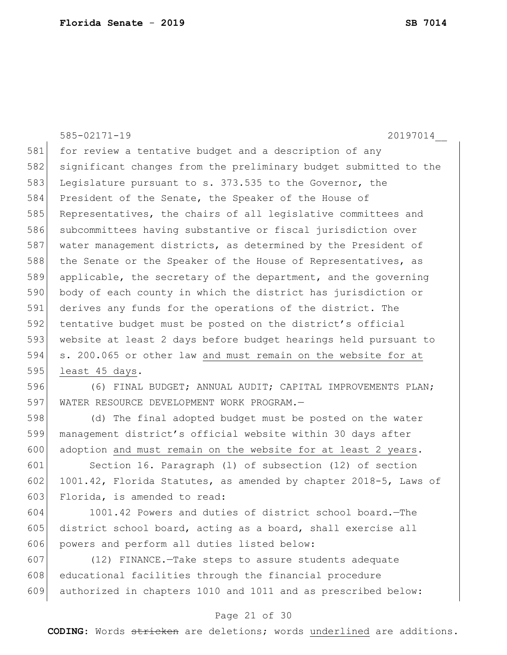585-02171-19 20197014\_\_ 581 for review a tentative budget and a description of any significant changes from the preliminary budget submitted to the 583 Legislature pursuant to s. 373.535 to the Governor, the President of the Senate, the Speaker of the House of 585 Representatives, the chairs of all legislative committees and subcommittees having substantive or fiscal jurisdiction over 587 water management districts, as determined by the President of 588 the Senate or the Speaker of the House of Representatives, as applicable, the secretary of the department, and the governing body of each county in which the district has jurisdiction or derives any funds for the operations of the district. The 592 tentative budget must be posted on the district's official website at least 2 days before budget hearings held pursuant to s. 200.065 or other law and must remain on the website for at least 45 days. (6) FINAL BUDGET; ANNUAL AUDIT; CAPITAL IMPROVEMENTS PLAN; WATER RESOURCE DEVELOPMENT WORK PROGRAM.— (d) The final adopted budget must be posted on the water

599 management district's official website within 30 days after 600 adoption and must remain on the website for at least 2 years.

601 Section 16. Paragraph (l) of subsection (12) of section 602 1001.42, Florida Statutes, as amended by chapter 2018-5, Laws of 603 Florida, is amended to read:

604 1001.42 Powers and duties of district school board.—The 605 district school board, acting as a board, shall exercise all 606 powers and perform all duties listed below:

607 (12) FINANCE.—Take steps to assure students adequate 608 educational facilities through the financial procedure 609 authorized in chapters 1010 and 1011 and as prescribed below:

### Page 21 of 30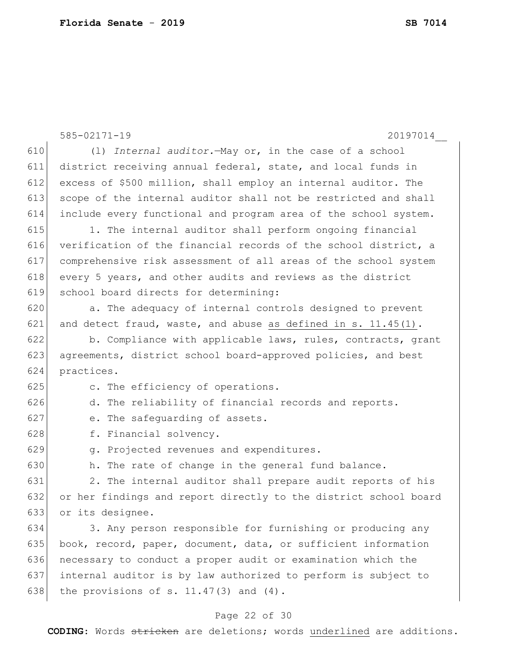|     | 585-02171-19<br>20197014                                         |
|-----|------------------------------------------------------------------|
| 610 | (1) Internal auditor. - May or, in the case of a school          |
| 611 | district receiving annual federal, state, and local funds in     |
| 612 | excess of \$500 million, shall employ an internal auditor. The   |
| 613 | scope of the internal auditor shall not be restricted and shall  |
| 614 | include every functional and program area of the school system.  |
| 615 | 1. The internal auditor shall perform ongoing financial          |
| 616 | verification of the financial records of the school district, a  |
| 617 | comprehensive risk assessment of all areas of the school system  |
| 618 | every 5 years, and other audits and reviews as the district      |
| 619 | school board directs for determining:                            |
| 620 | a. The adequacy of internal controls designed to prevent         |
| 621 | and detect fraud, waste, and abuse as defined in s. 11.45(1).    |
| 622 | b. Compliance with applicable laws, rules, contracts, grant      |
| 623 | agreements, district school board-approved policies, and best    |
| 624 | practices.                                                       |
| 625 | c. The efficiency of operations.                                 |
| 626 | d. The reliability of financial records and reports.             |
| 627 | e. The safequarding of assets.                                   |
| 628 | f. Financial solvency.                                           |
| 629 | g. Projected revenues and expenditures.                          |
| 630 | h. The rate of change in the general fund balance.               |
| 631 | 2. The internal auditor shall prepare audit reports of his       |
| 632 | or her findings and report directly to the district school board |
| 633 | or its designee.                                                 |
| 634 | 3. Any person responsible for furnishing or producing any        |
| 635 | book, record, paper, document, data, or sufficient information   |
| 636 | necessary to conduct a proper audit or examination which the     |
| 637 | internal auditor is by law authorized to perform is subject to   |
| 638 | the provisions of s. $11.47(3)$ and $(4)$ .                      |
|     | Page 22 of 30                                                    |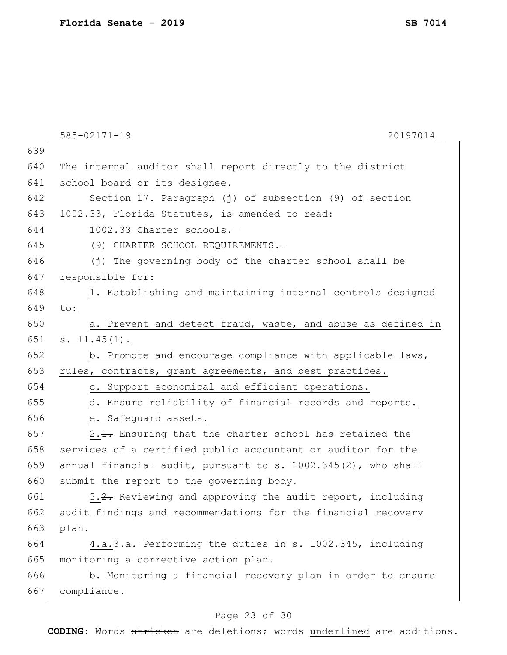|     | $585 - 02171 - 19$<br>20197014                                |
|-----|---------------------------------------------------------------|
| 639 |                                                               |
| 640 | The internal auditor shall report directly to the district    |
| 641 | school board or its designee.                                 |
| 642 | Section 17. Paragraph (j) of subsection (9) of section        |
| 643 | 1002.33, Florida Statutes, is amended to read:                |
| 644 | 1002.33 Charter schools.-                                     |
| 645 | (9) CHARTER SCHOOL REQUIREMENTS.-                             |
| 646 | (j) The governing body of the charter school shall be         |
| 647 | responsible for:                                              |
| 648 | 1. Establishing and maintaining internal controls designed    |
| 649 | to:                                                           |
| 650 | a. Prevent and detect fraud, waste, and abuse as defined in   |
| 651 | $s. 11.45(1)$ .                                               |
| 652 | b. Promote and encourage compliance with applicable laws,     |
| 653 | rules, contracts, grant agreements, and best practices.       |
| 654 | c. Support economical and efficient operations.               |
| 655 | d. Ensure reliability of financial records and reports.       |
| 656 | e. Safeguard assets.                                          |
| 657 | 2.1. Ensuring that the charter school has retained the        |
| 658 | services of a certified public accountant or auditor for the  |
| 659 | annual financial audit, pursuant to s. 1002.345(2), who shall |
| 660 | submit the report to the governing body.                      |
| 661 | 3.2. Reviewing and approving the audit report, including      |
| 662 | audit findings and recommendations for the financial recovery |
| 663 | plan.                                                         |
| 664 | 4.a. 3.a. Performing the duties in s. 1002.345, including     |
| 665 | monitoring a corrective action plan.                          |
| 666 | b. Monitoring a financial recovery plan in order to ensure    |
| 667 | compliance.                                                   |
|     | Page 23 of 30                                                 |

#### Page 23 of 30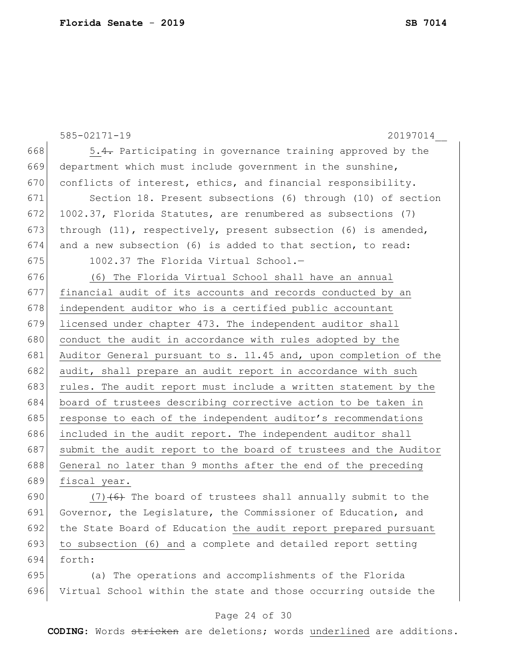```
585-02171-19 20197014__
668 \vert 5.4. Participating in governance training approved by the
669 department which must include government in the sunshine, 
670 conflicts of interest, ethics, and financial responsibility.
671 Section 18. Present subsections (6) through (10) of section 
672 1002.37, Florida Statutes, are renumbered as subsections (7)673 through (11), respectively, present subsection (6) is amended, 
674 and a new subsection (6) is added to that section, to read:
675 \vert 1002.37 The Florida Virtual School.-
676 (6) The Florida Virtual School shall have an annual 
677 financial audit of its accounts and records conducted by an 
678 independent auditor who is a certified public accountant
679 licensed under chapter 473. The independent auditor shall 
680 conduct the audit in accordance with rules adopted by the
681 Auditor General pursuant to s. 11.45 and, upon completion of the 
682 audit, shall prepare an audit report in accordance with such
683 rules. The audit report must include a written statement by the
684 board of trustees describing corrective action to be taken in 
685 response to each of the independent auditor's recommendations
686 included in the audit report. The independent auditor shall 
687 submit the audit report to the board of trustees and the Auditor
688 General no later than 9 months after the end of the preceding 
689 fiscal year.
690 (7) (6) The board of trustees shall annually submit to the
691 Governor, the Legislature, the Commissioner of Education, and
```
693 to subsection (6) and a complete and detailed report setting 694 forth:

692 the State Board of Education the audit report prepared pursuant

695 (a) The operations and accomplishments of the Florida 696 Virtual School within the state and those occurring outside the

## Page 24 of 30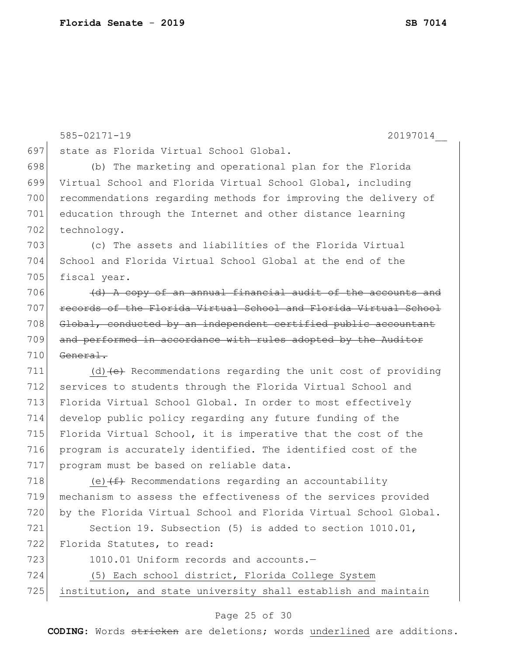|     | $585 - 02171 - 19$<br>20197014                                              |
|-----|-----------------------------------------------------------------------------|
| 697 | state as Florida Virtual School Global.                                     |
| 698 | (b) The marketing and operational plan for the Florida                      |
| 699 | Virtual School and Florida Virtual School Global, including                 |
| 700 | recommendations regarding methods for improving the delivery of             |
| 701 | education through the Internet and other distance learning                  |
| 702 | technology.                                                                 |
| 703 | (c) The assets and liabilities of the Florida Virtual                       |
| 704 | School and Florida Virtual School Global at the end of the                  |
| 705 | fiscal year.                                                                |
| 706 | (d) A copy of an annual financial audit of the accounts and                 |
| 707 | records of the Florida Virtual School and Florida Virtual School            |
| 708 | Global, conducted by an independent certified public accountant             |
| 709 | and performed in accordance with rules adopted by the Auditor               |
| 710 | General.                                                                    |
| 711 | (d) $\left( e \right)$ Recommendations regarding the unit cost of providing |
| 712 | services to students through the Florida Virtual School and                 |
| 713 | Florida Virtual School Global. In order to most effectively                 |
| 714 | develop public policy regarding any future funding of the                   |
| 715 | Florida Virtual School, it is imperative that the cost of the               |
| 716 | program is accurately identified. The identified cost of the                |
| 717 | program must be based on reliable data.                                     |
| 718 | (e) $(f)$ Recommendations regarding an accountability                       |
| 719 | mechanism to assess the effectiveness of the services provided              |
| 720 | by the Florida Virtual School and Florida Virtual School Global.            |
| 721 | Section 19. Subsection (5) is added to section 1010.01,                     |
| 722 | Florida Statutes, to read:                                                  |
| 723 | 1010.01 Uniform records and accounts.-                                      |
| 724 | (5) Each school district, Florida College System                            |
| 725 | institution, and state university shall establish and maintain              |
|     |                                                                             |

# Page 25 of 30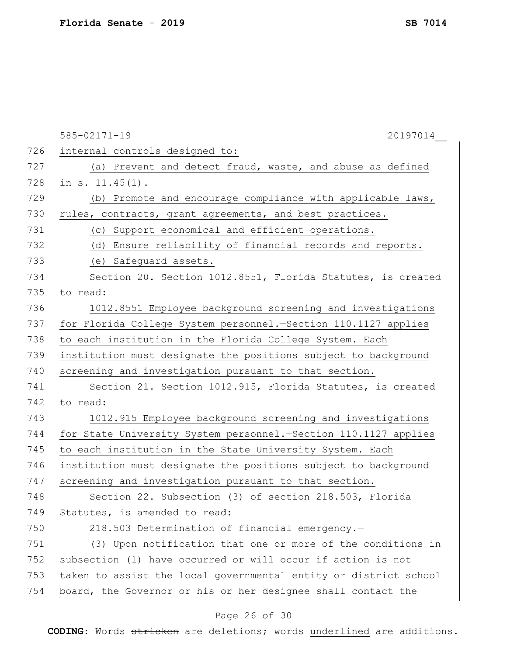|     | $585 - 02171 - 19$<br>20197014                                    |
|-----|-------------------------------------------------------------------|
| 726 | internal controls designed to:                                    |
| 727 | (a) Prevent and detect fraud, waste, and abuse as defined         |
| 728 | in $s. 11.45(1)$ .                                                |
| 729 | (b) Promote and encourage compliance with applicable laws,        |
| 730 | rules, contracts, grant agreements, and best practices.           |
| 731 | (c) Support economical and efficient operations.                  |
| 732 | (d) Ensure reliability of financial records and reports.          |
| 733 | (e) Safeguard assets.                                             |
| 734 | Section 20. Section 1012.8551, Florida Statutes, is created       |
| 735 | to read:                                                          |
| 736 | 1012.8551 Employee background screening and investigations        |
| 737 | for Florida College System personnel.-Section 110.1127 applies    |
| 738 | to each institution in the Florida College System. Each           |
| 739 | institution must designate the positions subject to background    |
| 740 | screening and investigation pursuant to that section.             |
| 741 | Section 21. Section 1012.915, Florida Statutes, is created        |
| 742 | to read:                                                          |
| 743 | 1012.915 Employee background screening and investigations         |
| 744 | for State University System personnel. - Section 110.1127 applies |
| 745 | to each institution in the State University System. Each          |
| 746 | institution must designate the positions subject to background    |
| 747 | screening and investigation pursuant to that section.             |
| 748 | Section 22. Subsection (3) of section 218.503, Florida            |
| 749 | Statutes, is amended to read:                                     |
| 750 | 218.503 Determination of financial emergency.-                    |
| 751 | (3) Upon notification that one or more of the conditions in       |
| 752 | subsection (1) have occurred or will occur if action is not       |
| 753 | taken to assist the local governmental entity or district school  |
| 754 | board, the Governor or his or her designee shall contact the      |
|     | Page 26 of 30                                                     |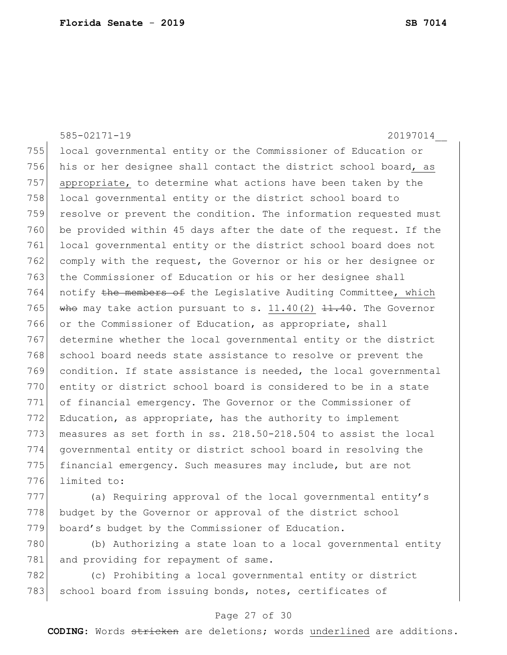585-02171-19 20197014\_\_ 755 local governmental entity or the Commissioner of Education or 756 his or her designee shall contact the district school board, as 757 appropriate, to determine what actions have been taken by the 758 local governmental entity or the district school board to 759 resolve or prevent the condition. The information requested must 760 be provided within 45 days after the date of the request. If the 761 local governmental entity or the district school board does not 762 comply with the request, the Governor or his or her designee or 763 the Commissioner of Education or his or her designee shall 764 notify the members of the Legislative Auditing Committee, which 765 who may take action pursuant to s. 11.40(2)  $11.40$ . The Governor 766 or the Commissioner of Education, as appropriate, shall 767 determine whether the local governmental entity or the district 768 school board needs state assistance to resolve or prevent the 769 condition. If state assistance is needed, the local governmental 770 entity or district school board is considered to be in a state 771 of financial emergency. The Governor or the Commissioner of 772 Education, as appropriate, has the authority to implement 773 measures as set forth in ss. 218.50-218.504 to assist the local 774 governmental entity or district school board in resolving the 775 financial emergency. Such measures may include, but are not 776 limited to: 777 (a) Requiring approval of the local governmental entity's

778 budget by the Governor or approval of the district school 779 board's budget by the Commissioner of Education.

780 (b) Authorizing a state loan to a local governmental entity 781 and providing for repayment of same.

782 (c) Prohibiting a local governmental entity or district 783 school board from issuing bonds, notes, certificates of

## Page 27 of 30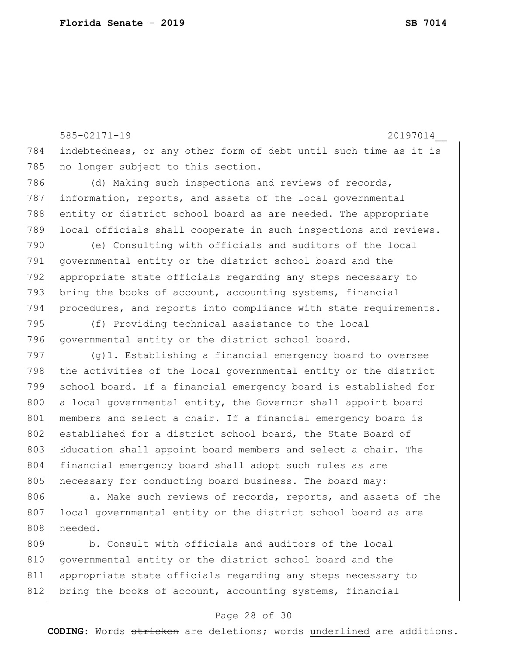808 needed.

585-02171-19 20197014\_\_ 784 indebtedness, or any other form of debt until such time as it is 785 no longer subject to this section. 786 (d) Making such inspections and reviews of records, 787 information, reports, and assets of the local governmental 788 entity or district school board as are needed. The appropriate 789 local officials shall cooperate in such inspections and reviews. 790 (e) Consulting with officials and auditors of the local 791 governmental entity or the district school board and the 792 appropriate state officials regarding any steps necessary to 793 bring the books of account, accounting systems, financial 794 procedures, and reports into compliance with state requirements. 795 (f) Providing technical assistance to the local 796 governmental entity or the district school board. 797 (g)1. Establishing a financial emergency board to oversee 798 the activities of the local governmental entity or the district 799 school board. If a financial emergency board is established for 800 a local governmental entity, the Governor shall appoint board 801 members and select a chair. If a financial emergency board is 802 established for a district school board, the State Board of 803 Education shall appoint board members and select a chair. The 804 financial emergency board shall adopt such rules as are 805 | necessary for conducting board business. The board may: 806 a. Make such reviews of records, reports, and assets of the 807 local governmental entity or the district school board as are

809 b. Consult with officials and auditors of the local 810 governmental entity or the district school board and the 811 appropriate state officials regarding any steps necessary to 812 bring the books of account, accounting systems, financial

## Page 28 of 30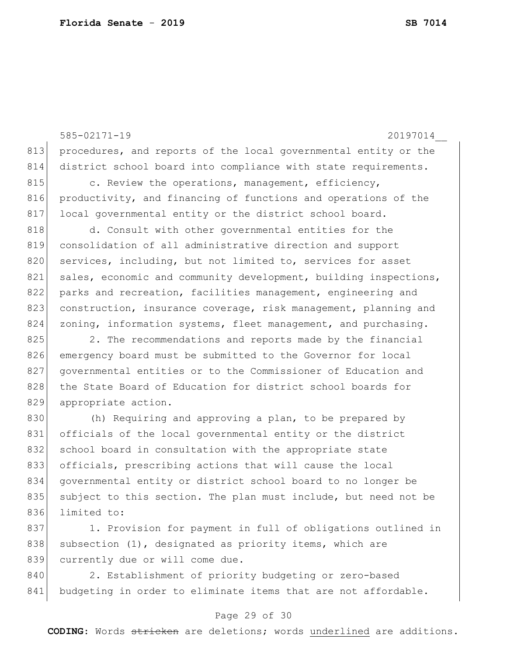585-02171-19 20197014\_\_ 813 procedures, and reports of the local governmental entity or the 814 district school board into compliance with state requirements. 815 c. Review the operations, management, efficiency, 816 productivity, and financing of functions and operations of the 817 local governmental entity or the district school board. 818 d. Consult with other governmental entities for the 819 consolidation of all administrative direction and support 820 services, including, but not limited to, services for asset 821 sales, economic and community development, building inspections, 822 parks and recreation, facilities management, engineering and 823 construction, insurance coverage, risk management, planning and 824 zoning, information systems, fleet management, and purchasing. 825 2. The recommendations and reports made by the financial 826 emergency board must be submitted to the Governor for local 827 | governmental entities or to the Commissioner of Education and 828 the State Board of Education for district school boards for 829 appropriate action. 830 (h) Requiring and approving a plan, to be prepared by 831 officials of the local governmental entity or the district 832 school board in consultation with the appropriate state 833 officials, prescribing actions that will cause the local 834 governmental entity or district school board to no longer be 835 subject to this section. The plan must include, but need not be 836 limited to:

837 1. Provision for payment in full of obligations outlined in 838 subsection  $(1)$ , designated as priority items, which are 839 currently due or will come due.

840 2. Establishment of priority budgeting or zero-based 841 budgeting in order to eliminate items that are not affordable.

## Page 29 of 30